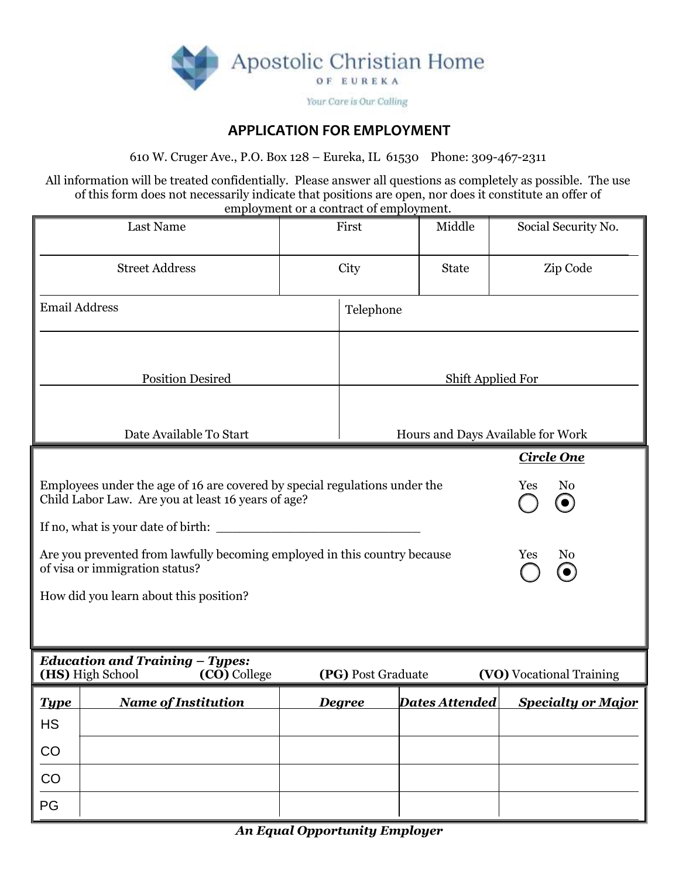

## **APPLICATION FOR EMPLOYMENT**

610 W. Cruger Ave., P.O. Box 128 – Eureka, IL 61530 Phone: 309-467-2311

All information will be treated confidentially. Please answer all questions as completely as possible. The use of this form does not necessarily indicate that positions are open, nor does it constitute an offer of employment or a contract of employment.

|                                                                                                                                                                          | <b>Last Name</b>           |  | employment of a contract of employment.<br>First | Middle                            | Social Security No.       |  |  |  |  |
|--------------------------------------------------------------------------------------------------------------------------------------------------------------------------|----------------------------|--|--------------------------------------------------|-----------------------------------|---------------------------|--|--|--|--|
|                                                                                                                                                                          |                            |  |                                                  |                                   |                           |  |  |  |  |
|                                                                                                                                                                          | <b>Street Address</b>      |  | City                                             | <b>State</b>                      | Zip Code                  |  |  |  |  |
| <b>Email Address</b>                                                                                                                                                     |                            |  | Telephone                                        |                                   |                           |  |  |  |  |
|                                                                                                                                                                          |                            |  |                                                  |                                   |                           |  |  |  |  |
| <b>Position Desired</b>                                                                                                                                                  |                            |  | Shift Applied For                                |                                   |                           |  |  |  |  |
|                                                                                                                                                                          |                            |  |                                                  |                                   |                           |  |  |  |  |
|                                                                                                                                                                          | Date Available To Start    |  |                                                  | Hours and Days Available for Work |                           |  |  |  |  |
| <b>Circle One</b>                                                                                                                                                        |                            |  |                                                  |                                   |                           |  |  |  |  |
| Employees under the age of 16 are covered by special regulations under the<br>N <sub>0</sub><br>Yes<br>Child Labor Law. Are you at least 16 years of age?<br>$(\bullet)$ |                            |  |                                                  |                                   |                           |  |  |  |  |
| If no, what is your date of birth:                                                                                                                                       |                            |  |                                                  |                                   |                           |  |  |  |  |
| Are you prevented from lawfully becoming employed in this country because<br>No<br><b>Yes</b><br>of visa or immigration status?<br>$\bullet$                             |                            |  |                                                  |                                   |                           |  |  |  |  |
| How did you learn about this position?                                                                                                                                   |                            |  |                                                  |                                   |                           |  |  |  |  |
|                                                                                                                                                                          |                            |  |                                                  |                                   |                           |  |  |  |  |
|                                                                                                                                                                          |                            |  |                                                  |                                   |                           |  |  |  |  |
| <b>Education and Training - Types:</b><br>(HS) High School<br>(CO) College<br>(PG) Post Graduate<br><b>(VO)</b> Vocational Training                                      |                            |  |                                                  |                                   |                           |  |  |  |  |
| <b>Type</b>                                                                                                                                                              | <b>Name of Institution</b> |  | <b>Degree</b>                                    | Dates Attended                    | <b>Specialty or Major</b> |  |  |  |  |
| <b>HS</b>                                                                                                                                                                |                            |  |                                                  |                                   |                           |  |  |  |  |
| CO                                                                                                                                                                       |                            |  |                                                  |                                   |                           |  |  |  |  |
| CO                                                                                                                                                                       |                            |  |                                                  |                                   |                           |  |  |  |  |
| PG                                                                                                                                                                       |                            |  |                                                  |                                   |                           |  |  |  |  |